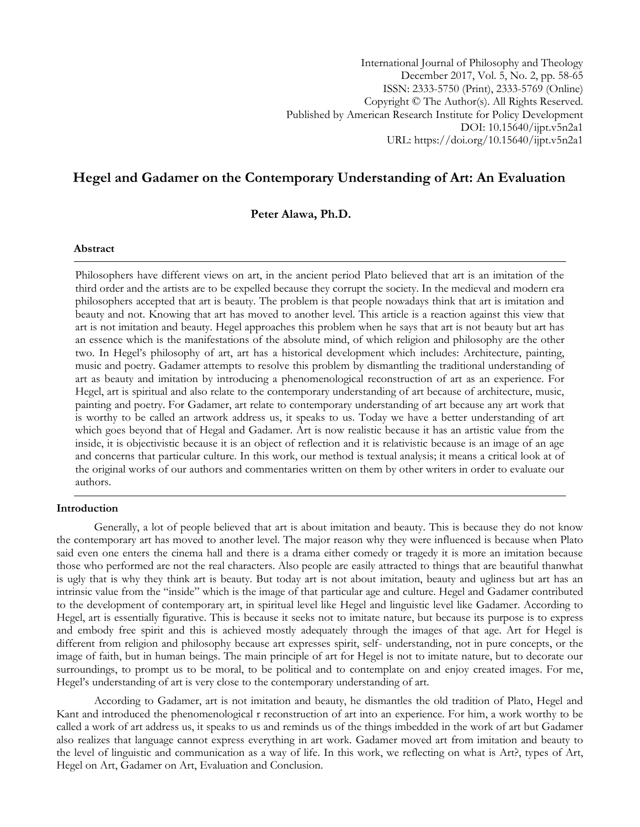International Journal of Philosophy and Theology December 2017, Vol. 5, No. 2, pp. 58-65 ISSN: 2333-5750 (Print), 2333-5769 (Online) Copyright © The Author(s). All Rights Reserved. Published by American Research Institute for Policy Development DOI: 10.15640/ijpt.v5n2a1 URL: https://doi.org/10.15640/ijpt.v5n2a1

# **Hegel and Gadamer on the Contemporary Understanding of Art: An Evaluation**

**Peter Alawa, Ph.D.**

#### **Abstract**

Philosophers have different views on art, in the ancient period Plato believed that art is an imitation of the third order and the artists are to be expelled because they corrupt the society. In the medieval and modern era philosophers accepted that art is beauty. The problem is that people nowadays think that art is imitation and beauty and not. Knowing that art has moved to another level. This article is a reaction against this view that art is not imitation and beauty. Hegel approaches this problem when he says that art is not beauty but art has an essence which is the manifestations of the absolute mind, of which religion and philosophy are the other two. In Hegel"s philosophy of art, art has a historical development which includes: Architecture, painting, music and poetry. Gadamer attempts to resolve this problem by dismantling the traditional understanding of art as beauty and imitation by introducing a phenomenological reconstruction of art as an experience. For Hegel, art is spiritual and also relate to the contemporary understanding of art because of architecture, music, painting and poetry. For Gadamer, art relate to contemporary understanding of art because any art work that is worthy to be called an artwork address us, it speaks to us. Today we have a better understanding of art which goes beyond that of Hegal and Gadamer. Art is now realistic because it has an artistic value from the inside, it is objectivistic because it is an object of reflection and it is relativistic because is an image of an age and concerns that particular culture. In this work, our method is textual analysis; it means a critical look at of the original works of our authors and commentaries written on them by other writers in order to evaluate our authors.

#### **Introduction**

Generally, a lot of people believed that art is about imitation and beauty. This is because they do not know the contemporary art has moved to another level. The major reason why they were influenced is because when Plato said even one enters the cinema hall and there is a drama either comedy or tragedy it is more an imitation because those who performed are not the real characters. Also people are easily attracted to things that are beautiful thanwhat is ugly that is why they think art is beauty. But today art is not about imitation, beauty and ugliness but art has an intrinsic value from the "inside" which is the image of that particular age and culture. Hegel and Gadamer contributed to the development of contemporary art, in spiritual level like Hegel and linguistic level like Gadamer. According to Hegel, art is essentially figurative. This is because it seeks not to imitate nature, but because its purpose is to express and embody free spirit and this is achieved mostly adequately through the images of that age. Art for Hegel is different from religion and philosophy because art expresses spirit, self- understanding, not in pure concepts, or the image of faith, but in human beings. The main principle of art for Hegel is not to imitate nature, but to decorate our surroundings, to prompt us to be moral, to be political and to contemplate on and enjoy created images. For me, Hegel"s understanding of art is very close to the contemporary understanding of art.

According to Gadamer, art is not imitation and beauty, he dismantles the old tradition of Plato, Hegel and Kant and introduced the phenomenological r reconstruction of art into an experience. For him, a work worthy to be called a work of art address us, it speaks to us and reminds us of the things imbedded in the work of art but Gadamer also realizes that language cannot express everything in art work. Gadamer moved art from imitation and beauty to the level of linguistic and communication as a way of life. In this work, we reflecting on what is Art?, types of Art, Hegel on Art, Gadamer on Art, Evaluation and Conclusion.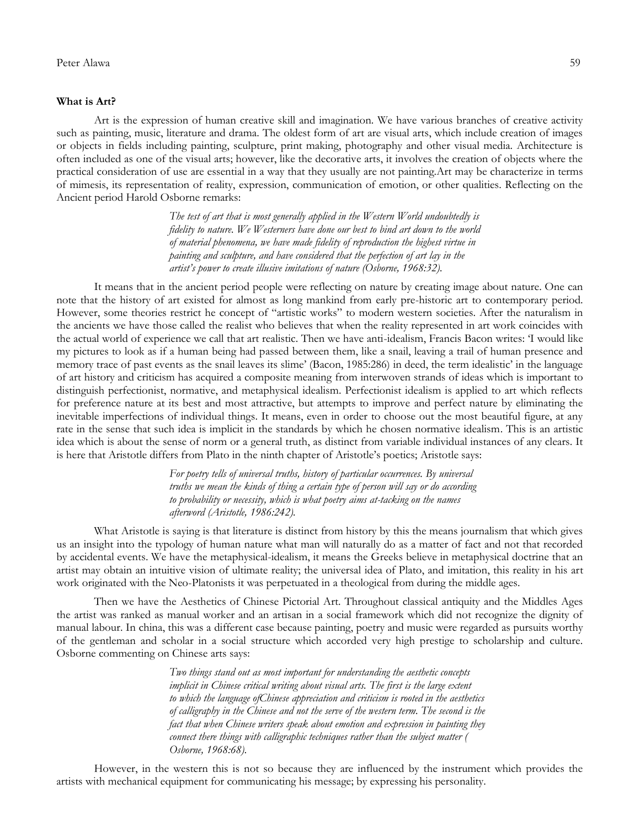#### **What is Art?**

Art is the expression of human creative skill and imagination. We have various branches of creative activity such as painting, music, literature and drama. The oldest form of art are visual arts, which include creation of images or objects in fields including painting, sculpture, print making, photography and other visual media. Architecture is often included as one of the visual arts; however, like the decorative arts, it involves the creation of objects where the practical consideration of use are essential in a way that they usually are not painting.Art may be characterize in terms of mimesis, its representation of reality, expression, communication of emotion, or other qualities. Reflecting on the Ancient period Harold Osborne remarks:

> *The test of art that is most generally applied in the Western World undoubtedly is fidelity to nature. We Westerners have done our best to bind art down to the world of material phenomena, we have made fidelity of reproduction the highest virtue in painting and sculpture, and have considered that the perfection of art lay in the artist's power to create illusive imitations of nature (Osborne, 1968:32).*

It means that in the ancient period people were reflecting on nature by creating image about nature. One can note that the history of art existed for almost as long mankind from early pre-historic art to contemporary period. However, some theories restrict he concept of "artistic works" to modern western societies. After the naturalism in the ancients we have those called the realist who believes that when the reality represented in art work coincides with the actual world of experience we call that art realistic. Then we have anti-idealism, Francis Bacon writes: "I would like my pictures to look as if a human being had passed between them, like a snail, leaving a trail of human presence and memory trace of past events as the snail leaves its slime" (Bacon, 1985:286) in deed, the term idealistic" in the language of art history and criticism has acquired a composite meaning from interwoven strands of ideas which is important to distinguish perfectionist, normative, and metaphysical idealism. Perfectionist idealism is applied to art which reflects for preference nature at its best and most attractive, but attempts to improve and perfect nature by eliminating the inevitable imperfections of individual things. It means, even in order to choose out the most beautiful figure, at any rate in the sense that such idea is implicit in the standards by which he chosen normative idealism. This is an artistic idea which is about the sense of norm or a general truth, as distinct from variable individual instances of any clears. It is here that Aristotle differs from Plato in the ninth chapter of Aristotle's poetics; Aristotle says:

> *For poetry tells of universal truths, history of particular occurrences. By universal truths we mean the kinds of thing a certain type of person will say or do according to probability or necessity, which is what poetry aims at-tacking on the names afterword (Aristotle, 1986:242).*

What Aristotle is saying is that literature is distinct from history by this the means journalism that which gives us an insight into the typology of human nature what man will naturally do as a matter of fact and not that recorded by accidental events. We have the metaphysical-idealism, it means the Greeks believe in metaphysical doctrine that an artist may obtain an intuitive vision of ultimate reality; the universal idea of Plato, and imitation, this reality in his art work originated with the Neo-Platonists it was perpetuated in a theological from during the middle ages.

Then we have the Aesthetics of Chinese Pictorial Art. Throughout classical antiquity and the Middles Ages the artist was ranked as manual worker and an artisan in a social framework which did not recognize the dignity of manual labour. In china, this was a different case because painting, poetry and music were regarded as pursuits worthy of the gentleman and scholar in a social structure which accorded very high prestige to scholarship and culture. Osborne commenting on Chinese arts says:

> *Two things stand out as most important for understanding the aesthetic concepts implicit in Chinese critical writing about visual arts. The first is the large extent to which the language ofChinese appreciation and criticism is rooted in the aesthetics of calligraphy in the Chinese and not the serve of the western term. The second is the*  fact that when Chinese writers speak about emotion and expression in painting they *connect there things with calligraphic techniques rather than the subject matter ( Osborne, 1968:68).*

However, in the western this is not so because they are influenced by the instrument which provides the artists with mechanical equipment for communicating his message; by expressing his personality.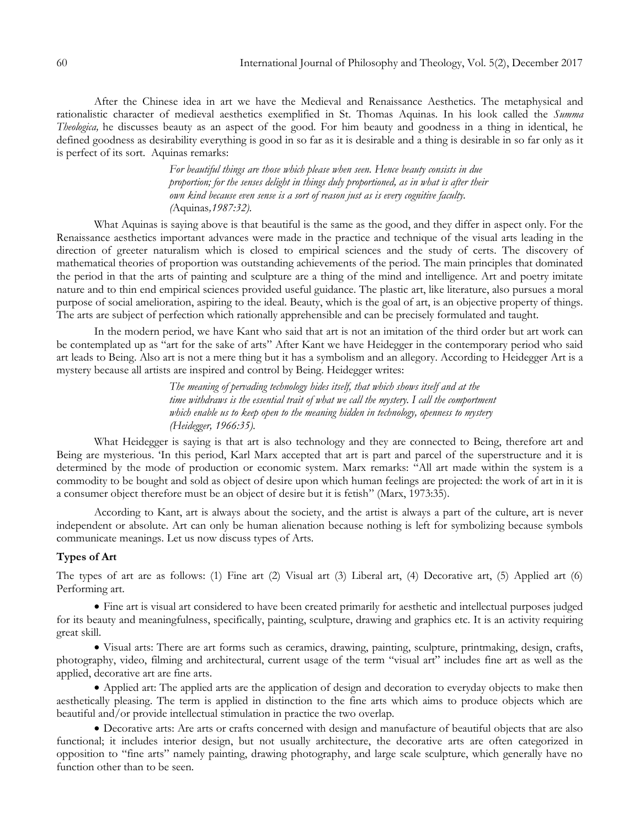After the Chinese idea in art we have the Medieval and Renaissance Aesthetics. The metaphysical and rationalistic character of medieval aesthetics exemplified in St. Thomas Aquinas. In his look called the *Summa Theologica,* he discusses beauty as an aspect of the good. For him beauty and goodness in a thing in identical, he defined goodness as desirability everything is good in so far as it is desirable and a thing is desirable in so far only as it is perfect of its sort. Aquinas remarks:

> *For beautiful things are those which please when seen. Hence beauty consists in due proportion; for the senses delight in things duly proportioned, as in what is after their own kind because even sense is a sort of reason just as is every cognitive faculty. (*Aquinas*,1987:32).*

What Aquinas is saying above is that beautiful is the same as the good, and they differ in aspect only. For the Renaissance aesthetics important advances were made in the practice and technique of the visual arts leading in the direction of greeter naturalism which is closed to empirical sciences and the study of certs. The discovery of mathematical theories of proportion was outstanding achievements of the period. The main principles that dominated the period in that the arts of painting and sculpture are a thing of the mind and intelligence. Art and poetry imitate nature and to thin end empirical sciences provided useful guidance. The plastic art, like literature, also pursues a moral purpose of social amelioration, aspiring to the ideal. Beauty, which is the goal of art, is an objective property of things. The arts are subject of perfection which rationally apprehensible and can be precisely formulated and taught.

In the modern period, we have Kant who said that art is not an imitation of the third order but art work can be contemplated up as "art for the sake of arts" After Kant we have Heidegger in the contemporary period who said art leads to Being. Also art is not a mere thing but it has a symbolism and an allegory. According to Heidegger Art is a mystery because all artists are inspired and control by Being. Heidegger writes:

> *The meaning of pervading technology hides itself, that which shows itself and at the time withdraws is the essential trait of what we call the mystery. I call the comportment which enable us to keep open to the meaning hidden in technology, openness to mystery (Heidegger, 1966:35).*

What Heidegger is saying is that art is also technology and they are connected to Being, therefore art and Being are mysterious. "In this period, Karl Marx accepted that art is part and parcel of the superstructure and it is determined by the mode of production or economic system. Marx remarks: "All art made within the system is a commodity to be bought and sold as object of desire upon which human feelings are projected: the work of art in it is a consumer object therefore must be an object of desire but it is fetish" (Marx, 1973:35).

According to Kant, art is always about the society, and the artist is always a part of the culture, art is never independent or absolute. Art can only be human alienation because nothing is left for symbolizing because symbols communicate meanings. Let us now discuss types of Arts.

## **Types of Art**

The types of art are as follows: (1) Fine art (2) Visual art (3) Liberal art, (4) Decorative art, (5) Applied art (6) Performing art.

 Fine art is visual art considered to have been created primarily for aesthetic and intellectual purposes judged for its beauty and meaningfulness, specifically, painting, sculpture, drawing and graphics etc. It is an activity requiring great skill.

 Visual arts: There are art forms such as ceramics, drawing, painting, sculpture, printmaking, design, crafts, photography, video, filming and architectural, current usage of the term "visual art" includes fine art as well as the applied, decorative art are fine arts.

 Applied art: The applied arts are the application of design and decoration to everyday objects to make then aesthetically pleasing. The term is applied in distinction to the fine arts which aims to produce objects which are beautiful and/or provide intellectual stimulation in practice the two overlap.

 Decorative arts: Are arts or crafts concerned with design and manufacture of beautiful objects that are also functional; it includes interior design, but not usually architecture, the decorative arts are often categorized in opposition to "fine arts" namely painting, drawing photography, and large scale sculpture, which generally have no function other than to be seen.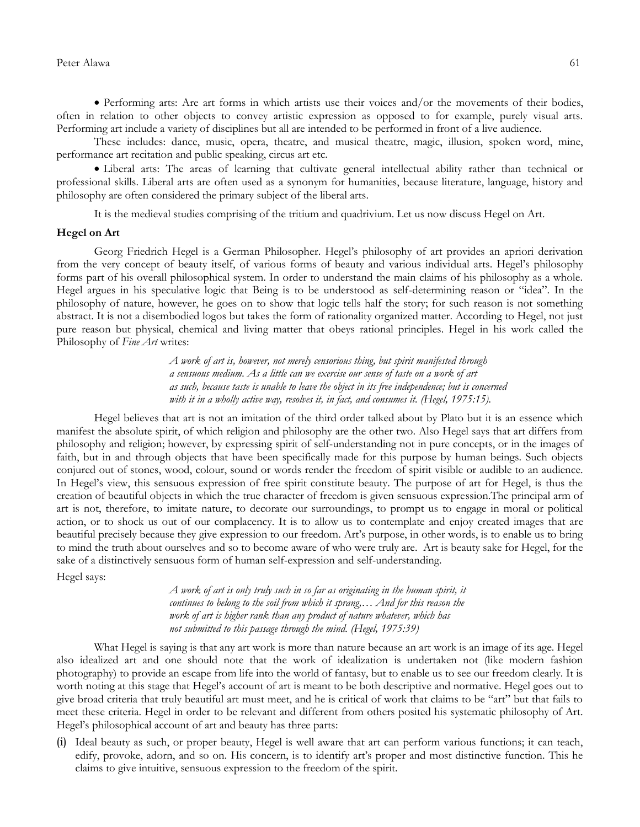Performing arts: Are art forms in which artists use their voices and/or the movements of their bodies, often in relation to other objects to convey artistic expression as opposed to for example, purely visual arts. Performing art include a variety of disciplines but all are intended to be performed in front of a live audience.

These includes: dance, music, opera, theatre, and musical theatre, magic, illusion, spoken word, mine, performance art recitation and public speaking, circus art etc.

 Liberal arts: The areas of learning that cultivate general intellectual ability rather than technical or professional skills. Liberal arts are often used as a synonym for humanities, because literature, language, history and philosophy are often considered the primary subject of the liberal arts.

It is the medieval studies comprising of the tritium and quadrivium. Let us now discuss Hegel on Art.

### **Hegel on Art**

Georg Friedrich Hegel is a German Philosopher. Hegel"s philosophy of art provides an apriori derivation from the very concept of beauty itself, of various forms of beauty and various individual arts. Hegel"s philosophy forms part of his overall philosophical system. In order to understand the main claims of his philosophy as a whole. Hegel argues in his speculative logic that Being is to be understood as self-determining reason or "idea". In the philosophy of nature, however, he goes on to show that logic tells half the story; for such reason is not something abstract. It is not a disembodied logos but takes the form of rationality organized matter. According to Hegel, not just pure reason but physical, chemical and living matter that obeys rational principles. Hegel in his work called the Philosophy of *Fine Art* writes:

> *A work of art is, however, not merely censorious thing, but spirit manifested through a sensuous medium. As a little can we exercise our sense of taste on a work of art as such, because taste is unable to leave the object in its free independence; but is concerned with it in a wholly active way, resolves it, in fact, and consumes it. (Hegel, 1975:15).*

Hegel believes that art is not an imitation of the third order talked about by Plato but it is an essence which manifest the absolute spirit, of which religion and philosophy are the other two. Also Hegel says that art differs from philosophy and religion; however, by expressing spirit of self-understanding not in pure concepts, or in the images of faith, but in and through objects that have been specifically made for this purpose by human beings. Such objects conjured out of stones, wood, colour, sound or words render the freedom of spirit visible or audible to an audience. In Hegel"s view, this sensuous expression of free spirit constitute beauty. The purpose of art for Hegel, is thus the creation of beautiful objects in which the true character of freedom is given sensuous expression.The principal arm of art is not, therefore, to imitate nature, to decorate our surroundings, to prompt us to engage in moral or political action, or to shock us out of our complacency. It is to allow us to contemplate and enjoy created images that are beautiful precisely because they give expression to our freedom. Art"s purpose, in other words, is to enable us to bring to mind the truth about ourselves and so to become aware of who were truly are. Art is beauty sake for Hegel, for the sake of a distinctively sensuous form of human self-expression and self-understanding.

Hegel says:

*A work of art is only truly such in so far as originating in the human spirit, it continues to belong to the soil from which it sprang,… And for this reason the work of art is higher rank than any product of nature whatever, which has not submitted to this passage through the mind. (Hegel, 1975:39)* 

What Hegel is saying is that any art work is more than nature because an art work is an image of its age. Hegel also idealized art and one should note that the work of idealization is undertaken not (like modern fashion photography) to provide an escape from life into the world of fantasy, but to enable us to see our freedom clearly. It is worth noting at this stage that Hegel"s account of art is meant to be both descriptive and normative. Hegel goes out to give broad criteria that truly beautiful art must meet, and he is critical of work that claims to be "art" but that fails to meet these criteria. Hegel in order to be relevant and different from others posited his systematic philosophy of Art. Hegel"s philosophical account of art and beauty has three parts:

(i) Ideal beauty as such, or proper beauty, Hegel is well aware that art can perform various functions; it can teach, edify, provoke, adorn, and so on. His concern, is to identify art"s proper and most distinctive function. This he claims to give intuitive, sensuous expression to the freedom of the spirit.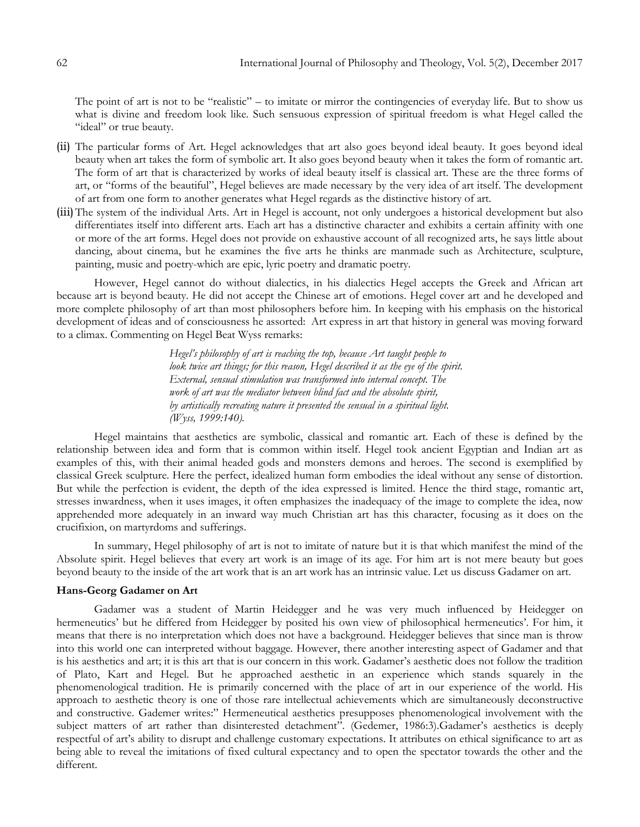The point of art is not to be "realistic" – to imitate or mirror the contingencies of everyday life. But to show us what is divine and freedom look like. Such sensuous expression of spiritual freedom is what Hegel called the "ideal" or true beauty.

- (ii) The particular forms of Art. Hegel acknowledges that art also goes beyond ideal beauty. It goes beyond ideal beauty when art takes the form of symbolic art. It also goes beyond beauty when it takes the form of romantic art. The form of art that is characterized by works of ideal beauty itself is classical art. These are the three forms of art, or "forms of the beautiful", Hegel believes are made necessary by the very idea of art itself. The development of art from one form to another generates what Hegel regards as the distinctive history of art.
- (iii) The system of the individual Arts. Art in Hegel is account, not only undergoes a historical development but also differentiates itself into different arts. Each art has a distinctive character and exhibits a certain affinity with one or more of the art forms. Hegel does not provide on exhaustive account of all recognized arts, he says little about dancing, about cinema, but he examines the five arts he thinks are manmade such as Architecture, sculpture, painting, music and poetry-which are epic, lyric poetry and dramatic poetry.

However, Hegel cannot do without dialectics, in his dialectics Hegel accepts the Greek and African art because art is beyond beauty. He did not accept the Chinese art of emotions. Hegel cover art and he developed and more complete philosophy of art than most philosophers before him. In keeping with his emphasis on the historical development of ideas and of consciousness he assorted: Art express in art that history in general was moving forward to a climax. Commenting on Hegel Beat Wyss remarks:

> *Hegel's philosophy of art is reaching the top, because Art taught people to look twice art things; for this reason, Hegel described it as the eye of the spirit. External, sensual stimulation was transformed into internal concept. The work of art was the mediator between blind fact and the absolute spirit, by artistically recreating nature it presented the sensual in a spiritual light. (Wyss, 1999:140).*

Hegel maintains that aesthetics are symbolic, classical and romantic art. Each of these is defined by the relationship between idea and form that is common within itself. Hegel took ancient Egyptian and Indian art as examples of this, with their animal headed gods and monsters demons and heroes. The second is exemplified by classical Greek sculpture. Here the perfect, idealized human form embodies the ideal without any sense of distortion. But while the perfection is evident, the depth of the idea expressed is limited. Hence the third stage, romantic art, stresses inwardness, when it uses images, it often emphasizes the inadequacy of the image to complete the idea, now apprehended more adequately in an inward way much Christian art has this character, focusing as it does on the crucifixion, on martyrdoms and sufferings.

In summary, Hegel philosophy of art is not to imitate of nature but it is that which manifest the mind of the Absolute spirit. Hegel believes that every art work is an image of its age. For him art is not mere beauty but goes beyond beauty to the inside of the art work that is an art work has an intrinsic value. Let us discuss Gadamer on art.

## **Hans-Georg Gadamer on Art**

Gadamer was a student of Martin Heidegger and he was very much influenced by Heidegger on hermeneutics' but he differed from Heidegger by posited his own view of philosophical hermeneutics'. For him, it means that there is no interpretation which does not have a background. Heidegger believes that since man is throw into this world one can interpreted without baggage. However, there another interesting aspect of Gadamer and that is his aesthetics and art; it is this art that is our concern in this work. Gadamer's aesthetic does not follow the tradition of Plato, Kart and Hegel. But he approached aesthetic in an experience which stands squarely in the phenomenological tradition. He is primarily concerned with the place of art in our experience of the world. His approach to aesthetic theory is one of those rare intellectual achievements which are simultaneously deconstructive and constructive. Gademer writes:" Hermeneutical aesthetics presupposes phenomenological involvement with the subject matters of art rather than disinterested detachment". (Gedemer, 1986:3).Gadamer's aesthetics is deeply respectful of art"s ability to disrupt and challenge customary expectations. It attributes on ethical significance to art as being able to reveal the imitations of fixed cultural expectancy and to open the spectator towards the other and the different.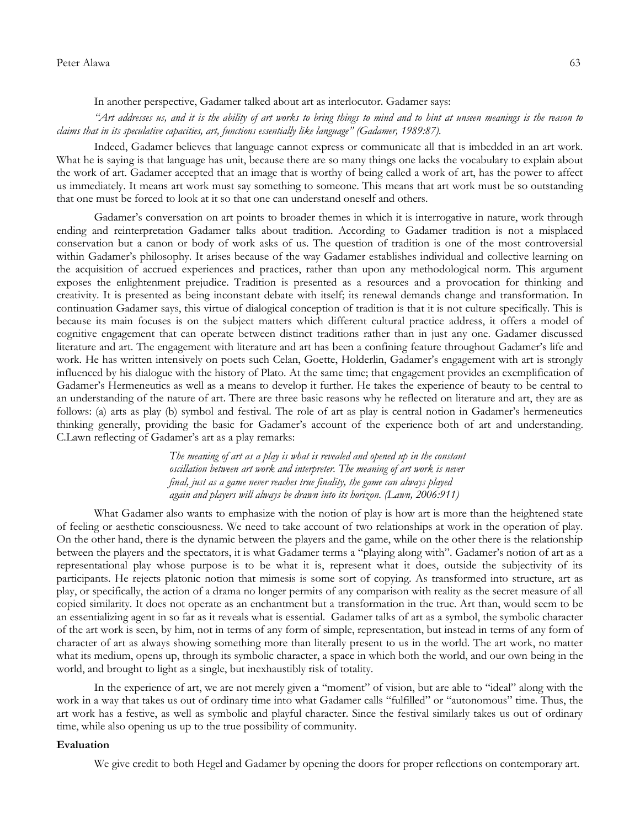### Peter Alawa 63

In another perspective, Gadamer talked about art as interlocutor. Gadamer says:

*"Art addresses us, and it is the ability of art works to bring things to mind and to hint at unseen meanings is the reason to claims that in its speculative capacities, art, functions essentially like language" (Gadamer, 1989:87).*

Indeed, Gadamer believes that language cannot express or communicate all that is imbedded in an art work. What he is saying is that language has unit, because there are so many things one lacks the vocabulary to explain about the work of art. Gadamer accepted that an image that is worthy of being called a work of art, has the power to affect us immediately. It means art work must say something to someone. This means that art work must be so outstanding that one must be forced to look at it so that one can understand oneself and others.

Gadamer"s conversation on art points to broader themes in which it is interrogative in nature, work through ending and reinterpretation Gadamer talks about tradition. According to Gadamer tradition is not a misplaced conservation but a canon or body of work asks of us. The question of tradition is one of the most controversial within Gadamer's philosophy. It arises because of the way Gadamer establishes individual and collective learning on the acquisition of accrued experiences and practices, rather than upon any methodological norm. This argument exposes the enlightenment prejudice. Tradition is presented as a resources and a provocation for thinking and creativity. It is presented as being inconstant debate with itself; its renewal demands change and transformation. In continuation Gadamer says, this virtue of dialogical conception of tradition is that it is not culture specifically. This is because its main focuses is on the subject matters which different cultural practice address, it offers a model of cognitive engagement that can operate between distinct traditions rather than in just any one. Gadamer discussed literature and art. The engagement with literature and art has been a confining feature throughout Gadamer"s life and work. He has written intensively on poets such Celan, Goette, Holderlin, Gadamer"s engagement with art is strongly influenced by his dialogue with the history of Plato. At the same time; that engagement provides an exemplification of Gadamer"s Hermeneutics as well as a means to develop it further. He takes the experience of beauty to be central to an understanding of the nature of art. There are three basic reasons why he reflected on literature and art, they are as follows: (a) arts as play (b) symbol and festival. The role of art as play is central notion in Gadamer's hermeneutics thinking generally, providing the basic for Gadamer's account of the experience both of art and understanding. C.Lawn reflecting of Gadamer's art as a play remarks:

> *The meaning of art as a play is what is revealed and opened up in the constant oscillation between art work and interpreter. The meaning of art work is never final, just as a game never reaches true finality, the game can always played again and players will always be drawn into its horizon. (Lawn, 2006:911)*

What Gadamer also wants to emphasize with the notion of play is how art is more than the heightened state of feeling or aesthetic consciousness. We need to take account of two relationships at work in the operation of play. On the other hand, there is the dynamic between the players and the game, while on the other there is the relationship between the players and the spectators, it is what Gadamer terms a "playing along with". Gadamer's notion of art as a representational play whose purpose is to be what it is, represent what it does, outside the subjectivity of its participants. He rejects platonic notion that mimesis is some sort of copying. As transformed into structure, art as play, or specifically, the action of a drama no longer permits of any comparison with reality as the secret measure of all copied similarity. It does not operate as an enchantment but a transformation in the true. Art than, would seem to be an essentializing agent in so far as it reveals what is essential. Gadamer talks of art as a symbol, the symbolic character of the art work is seen, by him, not in terms of any form of simple, representation, but instead in terms of any form of character of art as always showing something more than literally present to us in the world. The art work, no matter what its medium, opens up, through its symbolic character, a space in which both the world, and our own being in the world, and brought to light as a single, but inexhaustibly risk of totality.

In the experience of art, we are not merely given a "moment" of vision, but are able to "ideal" along with the work in a way that takes us out of ordinary time into what Gadamer calls "fulfilled" or "autonomous" time. Thus, the art work has a festive, as well as symbolic and playful character. Since the festival similarly takes us out of ordinary time, while also opening us up to the true possibility of community.

#### **Evaluation**

We give credit to both Hegel and Gadamer by opening the doors for proper reflections on contemporary art.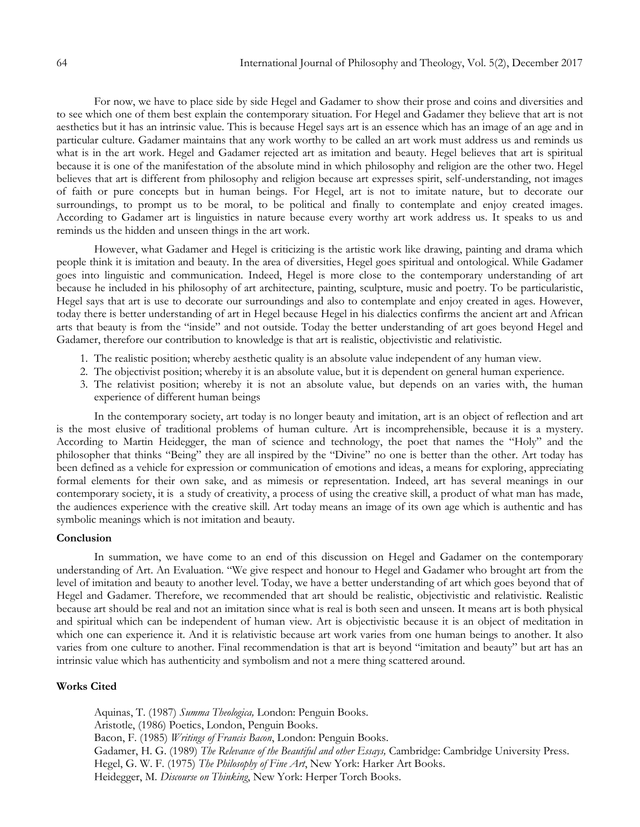For now, we have to place side by side Hegel and Gadamer to show their prose and coins and diversities and to see which one of them best explain the contemporary situation. For Hegel and Gadamer they believe that art is not aesthetics but it has an intrinsic value. This is because Hegel says art is an essence which has an image of an age and in particular culture. Gadamer maintains that any work worthy to be called an art work must address us and reminds us what is in the art work. Hegel and Gadamer rejected art as imitation and beauty. Hegel believes that art is spiritual because it is one of the manifestation of the absolute mind in which philosophy and religion are the other two. Hegel believes that art is different from philosophy and religion because art expresses spirit, self-understanding, not images of faith or pure concepts but in human beings. For Hegel, art is not to imitate nature, but to decorate our surroundings, to prompt us to be moral, to be political and finally to contemplate and enjoy created images. According to Gadamer art is linguistics in nature because every worthy art work address us. It speaks to us and reminds us the hidden and unseen things in the art work.

However, what Gadamer and Hegel is criticizing is the artistic work like drawing, painting and drama which people think it is imitation and beauty. In the area of diversities, Hegel goes spiritual and ontological. While Gadamer goes into linguistic and communication. Indeed, Hegel is more close to the contemporary understanding of art because he included in his philosophy of art architecture, painting, sculpture, music and poetry. To be particularistic, Hegel says that art is use to decorate our surroundings and also to contemplate and enjoy created in ages. However, today there is better understanding of art in Hegel because Hegel in his dialectics confirms the ancient art and African arts that beauty is from the "inside" and not outside. Today the better understanding of art goes beyond Hegel and Gadamer, therefore our contribution to knowledge is that art is realistic, objectivistic and relativistic.

- 1. The realistic position; whereby aesthetic quality is an absolute value independent of any human view.
- 2. The objectivist position; whereby it is an absolute value, but it is dependent on general human experience.
- 3. The relativist position; whereby it is not an absolute value, but depends on an varies with, the human experience of different human beings

In the contemporary society, art today is no longer beauty and imitation, art is an object of reflection and art is the most elusive of traditional problems of human culture. Art is incomprehensible, because it is a mystery. According to Martin Heidegger, the man of science and technology, the poet that names the "Holy" and the philosopher that thinks "Being" they are all inspired by the "Divine" no one is better than the other. Art today has been defined as a vehicle for expression or communication of emotions and ideas, a means for exploring, appreciating formal elements for their own sake, and as mimesis or representation. Indeed, art has several meanings in our contemporary society, it is a study of creativity, a process of using the creative skill, a product of what man has made, the audiences experience with the creative skill. Art today means an image of its own age which is authentic and has symbolic meanings which is not imitation and beauty.

## **Conclusion**

In summation, we have come to an end of this discussion on Hegel and Gadamer on the contemporary understanding of Art. An Evaluation. "We give respect and honour to Hegel and Gadamer who brought art from the level of imitation and beauty to another level. Today, we have a better understanding of art which goes beyond that of Hegel and Gadamer. Therefore, we recommended that art should be realistic, objectivistic and relativistic. Realistic because art should be real and not an imitation since what is real is both seen and unseen. It means art is both physical and spiritual which can be independent of human view. Art is objectivistic because it is an object of meditation in which one can experience it. And it is relativistic because art work varies from one human beings to another. It also varies from one culture to another. Final recommendation is that art is beyond "imitation and beauty" but art has an intrinsic value which has authenticity and symbolism and not a mere thing scattered around.

## **Works Cited**

Aquinas, T. (1987) *Summa Theologica,* London: Penguin Books. Aristotle, (1986) Poetics, London, Penguin Books. Bacon, F. (1985) *Writings of Francis Bacon*, London: Penguin Books. Gadamer, H. G. (1989) *The Relevance of the Beautiful and other Essays,* Cambridge: Cambridge University Press. Hegel, G. W. F. (1975) *The Philosophy of Fine Art*, New York: Harker Art Books. Heidegger, M. *Discourse on Thinking*, New York: Herper Torch Books.